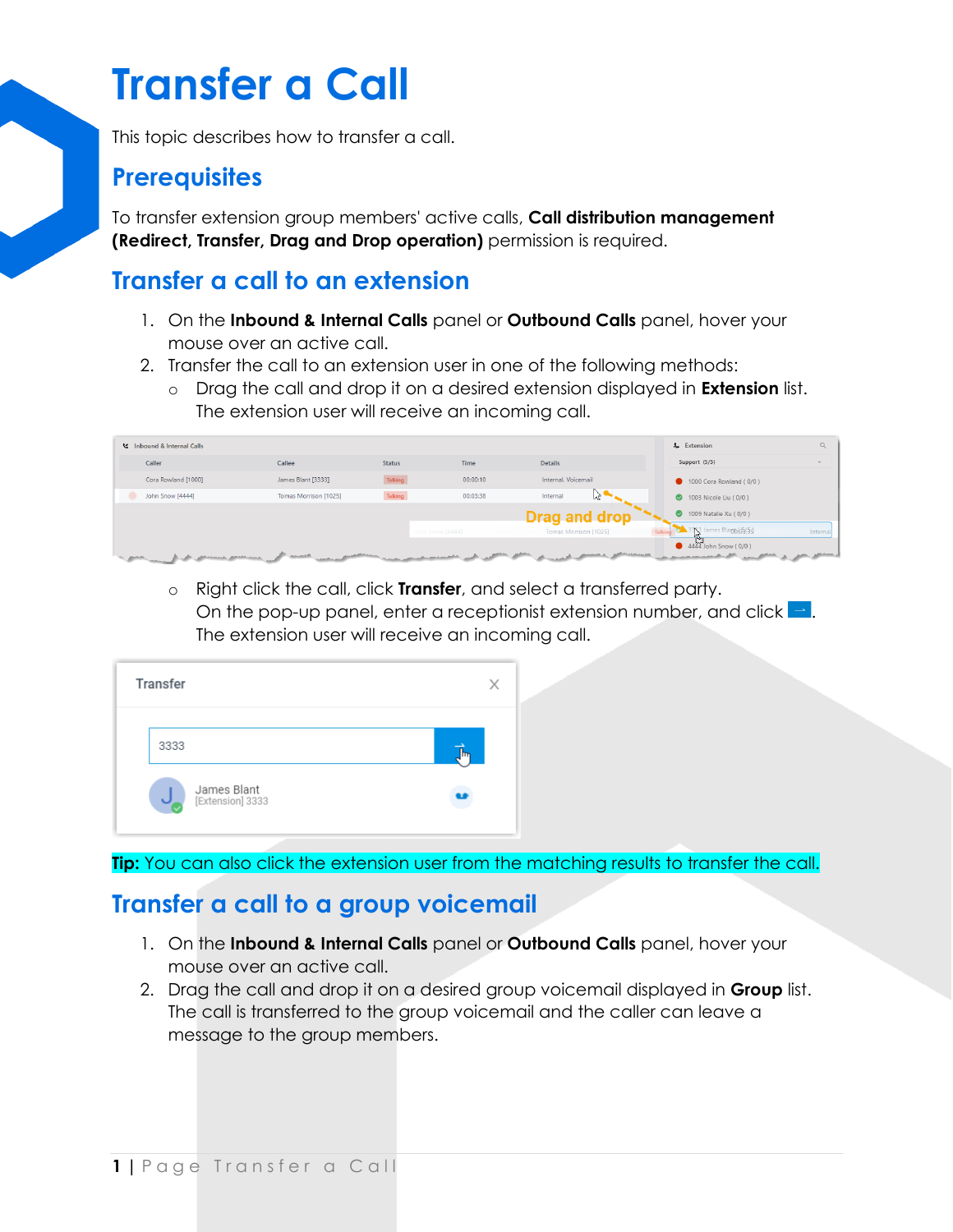## **Transfer a Call**

This topic describes how to transfer a call.

#### **Prerequisites**

To transfer extension group members' active calls, **Call distribution management (Redirect, Transfer, Drag and Drop operation)** permission is required.

### **Transfer a call to an extension**

- 1. On the **Inbound & Internal Calls** panel or **Outbound Calls** panel, hover your mouse over an active call.
- 2. Transfer the call to an extension user in one of the following methods:
	- o Drag the call and drop it on a desired extension displayed in **Extension** list. The extension user will receive an incoming call.

| Last Inbound & Internal Calls |                       |               |                  |                       | & Extension                                                                                                                                           | Q             |
|-------------------------------|-----------------------|---------------|------------------|-----------------------|-------------------------------------------------------------------------------------------------------------------------------------------------------|---------------|
| Caller                        | Callee                | <b>Status</b> | Time             | <b>Details</b>        | Support (5/5)                                                                                                                                         | $\rightarrow$ |
| Cora Rowland [1000]           | James Blant [3333]    | Talking       | 00:00:10         | Internal, Voicemail   | 1000 Cora Rowland (0/0)                                                                                                                               |               |
| John Snow [4444]              | Tomas Morrison [1025] | Talking       | 00:03:38         | Internal<br>ĥЛ        | 1003 Nicole Liu (0/0)                                                                                                                                 |               |
|                               |                       |               |                  | Drag and drop         | 1009 Natalie Xu (0/0)                                                                                                                                 |               |
|                               |                       |               | John Snow [4444] | Tomas Morrison [1025] | 3333 James Blanb(c5/53                                                                                                                                | Internal      |
|                               | <b>MALLARATE</b>      |               |                  |                       | $4444$ John Snow ( $0/0$ )<br>the construction of the construction of the construction of the construction of the construction of the construction of |               |

o Right click the call, click **Transfer**, and select a transferred party. On the pop-up panel, enter a receptionist extension number, and click  $\Box$ . The extension user will receive an incoming call.

| <b>Transfer</b>                 |        |
|---------------------------------|--------|
| 3333                            | $\P_m$ |
| James Blant<br>[Extension] 3333 |        |

**Tip:** You can also click the extension user from the matching results to transfer the call.

## **Transfer a call to a group voicemail**

- 1. On the **Inbound & Internal Calls** panel or **Outbound Calls** panel, hover your mouse over an active call.
- 2. Drag the call and drop it on a desired group voicemail displayed in **Group** list. The call is transferred to the group voicemail and the caller can leave a message to the group members.